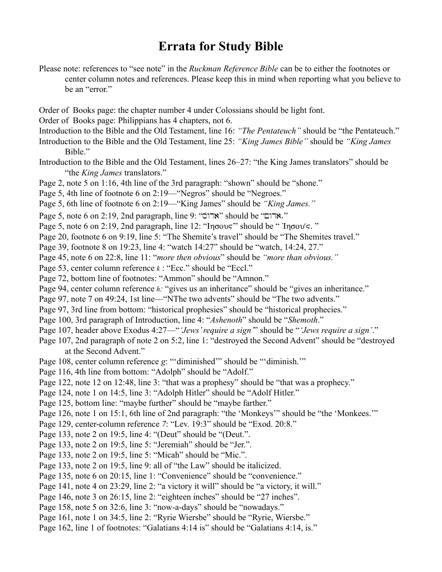## **Errata for Study Bible**

- Please note: references to "see note" in the *Ruckman Reference Bible* can be to either the footnotes or center column notes and references. Please keep this in mind when reporting what you believe to be an "error."
- Order of Books page: the chapter number 4 under Colossians should be light font.
- Order of Books page: Philippians has 4 chapters, not 6.
- Introduction to the Bible and the Old Testament, line 16: *"The Pentateuch"* should be "the Pentateuch."
- Introduction to the Bible and the Old Testament, line 25: *"King James Bible"* should be *"King James* Bible."
- Introduction to the Bible and the Old Testament, lines 26–27: "the King James translators" should be "the *King James* translators."
- Page 2, note 5 on 1:16, 4th line of the 3rd paragraph: "shown" should be "shone."
- Page 5, 4th line of footnote 6 on 2:19—"Negros" should be "Negroes."
- Page 5, 6th line of footnote 6 on 2:19—"King James" should be *"King James."*
- Page 5, note 6 on 2:19, 2nd paragraph, line 9: "אדום" should be "אדום".
- Page 5, note 6 on 2:19, 2nd paragraph, line 12: "In $\sigma$ ov $\varsigma$ " should be " In $\sigma$ ov $\varsigma$ ."
- Page 20, footnote 6 on 9:19, line 5: "The Shemite's travel" should be "The Shemites travel."
- Page 39, footnote 8 on 19:23, line 4: "watch 14:27" should be "watch, 14:24, 27."
- Page 45, note 6 on 22:8, line 11: "*more then obvious*" should be *"more than obvious."*
- Page 53, center column reference *k* : "Ecc." should be "Eccl."
- Page 72, bottom line of footnotes: "Ammon" should be "Amnon."
- Page 94, center column reference *h*: "gives us an inheritance" should be "gives an inheritance."
- Page 97, note 7 on 49:24, 1st line—"NThe two advents" should be "The two advents."
- Page 97, 3rd line from bottom: "historical prophesies" should be "historical prophecies."
- Page 100, 3rd paragraph of Introduction, line 4: "*Ashenoth*" should be "*Shemoth*."
- Page 107, header above Exodus 4:27—"*'Jews' require a sign'*" should be "*'Jews require a sign'*."
- Page 107, 2nd paragraph of note 2 on 5:2, line 1: "destroyed the Second Advent" should be "destroyed at the Second Advent."
- Page 108, center column reference *g*: "'diminished'" should be "'diminish.'"
- Page 116, 4th line from bottom: "Adolph" should be "Adolf."
- Page 122, note 12 on 12:48, line 3: "that was a prophesy" should be "that was a prophecy."
- Page 124, note 1 on 14:5, line 3: "Adolph Hitler" should be "Adolf Hitler."
- Page 125, bottom line: "maybe further" should be "maybe farther."
- Page 126, note 1 on 15:1, 6th line of 2nd paragraph: "the 'Monkeys'" should be "the 'Monkees."
- Page 129, center-column reference *7*: "Lev. 19:3" should be "Exod. 20:8."
- Page 133, note 2 on 19:5, line 4: "(Deut" should be "(Deut.".
- Page 133, note 2 on 19:5, line 5: "Jeremiah" should be "Jer.".
- Page 133, note 2 on 19:5, line 5: "Micah" should be "Mic.".
- Page 133, note 2 on 19:5, line 9: all of "the Law" should be italicized.
- Page 135, note 6 on 20:15, line 1: "Convenience" should be "convenience."
- Page 141, note 4 on 23:29, line 2: "a victory it will" should be "a victory, it will."
- Page 146, note 3 on 26:15, line 2: "eighteen inches" should be "27 inches".
- Page 158, note 5 on 32:6, line 3: "now-a-days" should be "nowadays."
- Page 161, note 1 on 34:5, line 2: "Ryrie Wiersbe" should be "Ryrie, Wiersbe."
- Page 162, line 1 of footnotes: "Galatians 4:14 is" should be "Galatians 4:14, is."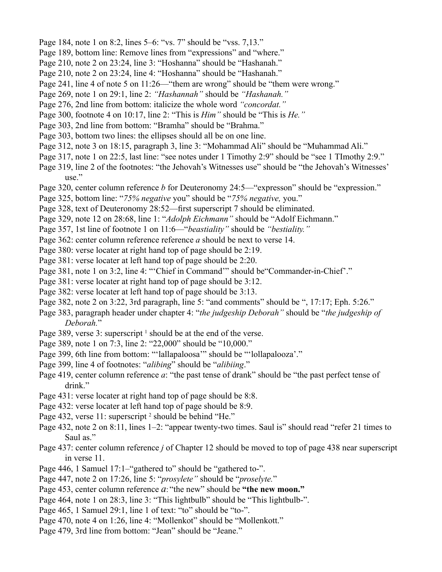- Page 184, note 1 on 8:2, lines 5–6: "vs. 7" should be "vss. 7,13."
- Page 189, bottom line: Remove lines from "expressions" and "where."
- Page 210, note 2 on 23:24, line 3: "Hoshanna" should be "Hashanah."
- Page 210, note 2 on 23:24, line 4: "Hoshanna" should be "Hashanah."
- Page 241, line 4 of note 5 on 11:26—"them are wrong" should be "them were wrong."
- Page 269, note 1 on 29:1, line 2: *"Hashannah"* should be *"Hashanah."*
- Page 276, 2nd line from bottom: italicize the whole word *"concordat."*
- Page 300, footnote 4 on 10:17, line 2: "This is *Him"* should be "This is *He."*
- Page 303, 2nd line from bottom: "Bramha" should be "Brahma."
- Page 303, bottom two lines: the ellipses should all be on one line.
- Page 312, note 3 on 18:15, paragraph 3, line 3: "Mohammad Ali" should be "Muhammad Ali."
- Page 317, note 1 on 22:5, last line: "see notes under 1 Timothy 2:9" should be "see 1 TImothy 2:9."
- Page 319, line 2 of the footnotes: "the Jehovah's Witnesses use" should be "the Jehovah's Witnesses' use."
- Page 320, center column reference *b* for Deuteronomy 24:5—"expresson" should be "expression."
- Page 325, bottom line: "*75% negative* you" should be "*75% negative,* you."
- Page 328, text of Deuteronomy 28:52—first superscript 7 should be eliminated.
- Page 329, note 12 on 28:68, line 1: "*Adolph Eichmann"* should be "Adolf Eichmann."
- Page 357, 1st line of footnote 1 on 11:6—"*beastiality"* should be *"bestiality."*
- Page 362: center column reference reference *a* should be next to verse 14.
- Page 380: verse locater at right hand top of page should be 2:19.
- Page 381: verse locater at left hand top of page should be 2:20.
- Page 381, note 1 on 3:2, line 4: "'Chief in Command'" should be"Commander-in-Chief'."
- Page 381: verse locater at right hand top of page should be 3:12.
- Page 382: verse locater at left hand top of page should be 3:13.
- Page 382, note 2 on 3:22, 3rd paragraph, line 5: "and comments" should be ", 17:17; Eph. 5:26."
- Page 383, paragraph header under chapter 4: "*the judgeship Deborah"* should be "*the judgeship of Deborah.*"
- Page 389, verse 3: superscript <sup>1</sup> should be at the end of the verse.
- Page 389, note 1 on 7:3, line 2: "22,000" should be "10,000."
- Page 399, 6th line from bottom: "'lallapaloosa'" should be "'lollapalooza'."
- Page 399, line 4 of footnotes: "*alibing*" should be "*alibiing*."
- Page 419, center column reference *a*: "the past tense of drank" should be "the past perfect tense of drink."
- Page 431: verse locater at right hand top of page should be 8:8.
- Page 432: verse locater at left hand top of page should be 8:9.
- Page 432, verse 11: superscript<sup>2</sup> should be behind "He."
- Page 432, note 2 on 8:11, lines 1–2: "appear twenty-two times. Saul is" should read "refer 21 times to Saul as."
- Page 437: center column reference *j* of Chapter 12 should be moved to top of page 438 near superscript in verse 11.
- Page 446, 1 Samuel 17:1–"gathered to" should be "gathered to-".
- Page 447, note 2 on 17:26, line 5: "*prosylete"* should be "*proselyte.*"
- Page 453, center column reference *a*: "the new" should be **"the new moon."**
- Page 464, note 1 on 28:3, line 3: "This lightbulb" should be "This lightbulb-".
- Page 465, 1 Samuel 29:1, line 1 of text: "to" should be "to-".
- Page 470, note 4 on 1:26, line 4: "Mollenkot" should be "Mollenkott."
- Page 479, 3rd line from bottom: "Jean" should be "Jeane."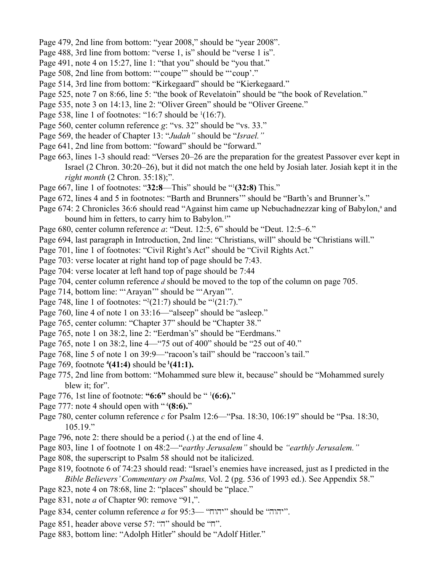- Page 479, 2nd line from bottom: "year 2008," should be "year 2008".
- Page 488, 3rd line from bottom: "verse 1, is" should be "verse 1 is".
- Page 491, note 4 on 15:27, line 1: "that you" should be "you that."
- Page 508, 2nd line from bottom: ""coupe" should be ""coup'."
- Page 514, 3rd line from bottom: "Kirkegaard" should be "Kierkegaard."
- Page 525, note 7 on 8:66, line 5: "the book of Revelatoin" should be "the book of Revelation."
- Page 535, note 3 on 14:13, line 2: "Oliver Green" should be "Oliver Greene."
- Page 538, line 1 of footnotes: "16:7 should be  $(16:7)$ .
- Page 560, center column reference *g*: "vs. 32" should be "vs. 33."
- Page 569, the header of Chapter 13: "*Judah"* should be "*Israel."*
- Page 641, 2nd line from bottom: "foward" should be "forward."
- Page 663, lines 1-3 should read: "Verses 20–26 are the preparation for the greatest Passover ever kept in Israel (2 Chron. 30:20–26), but it did not match the one held by Josiah later. Josiah kept it in the *right month* (2 Chron. 35:18);".
- Page 667, line 1 of footnotes: "**32:8**—This" should be "1 **(32:8)** This."
- Page 672, lines 4 and 5 in footnotes: "Barth and Brunners'" should be "Barth's and Brunner's."
- Page 674: 2 Chronicles 36:6 should read "Against him came up Nebuchadnezzar king of Babylon,<sup>a</sup> and bound him in fetters, to carry him to Babylon.<sup>1</sup>"
- Page 680, center column reference *a*: "Deut. 12:5, 6" should be "Deut. 12:5–6."
- Page 694, last paragraph in Introduction, 2nd line: "Christians, will" should be "Christians will."
- Page 701, line 1 of footnotes: "Civil Right's Act" should be "Civil Rights Act."
- Page 703: verse locater at right hand top of page should be 7:43.
- Page 704: verse locater at left hand top of page should be 7:44
- Page 704, center column reference *d* should be moved to the top of the column on page 705.
- Page 714, bottom line: "'Arayan'" should be "'Aryan'".
- Page 748, line 1 of footnotes: " $2(21:7)$  should be " $(21:7)$ ."
- Page 760, line 4 of note 1 on 33:16—"alseep" should be "asleep."
- Page 765, center column: "Chapter 37" should be "Chapter 38."
- Page 765, note 1 on 38:2, line 2: "Eerdman's" should be "Eerdmans."
- Page 765, note 1 on 38:2, line 4—"75 out of 400" should be "25 out of 40."
- Page 768, line 5 of note 1 on 39:9—"racoon's tail" should be "raccoon's tail."
- Page 769, footnote **<sup>4</sup> (41:4)** should be **1(41:1).**
- Page 775, 2nd line from bottom: "Mohammed sure blew it, because" should be "Mohammed surely blew it; for".
- Page 776, 1st line of footnote: **"6:6"** should be " 1 **(6:6).**"
- Page 777: note 4 should open with "4(8:6)."
- Page 780, center column reference *c* for Psalm 12:6—"Psa. 18:30, 106:19" should be "Psa. 18:30,  $105.19$ ."
- Page 796, note 2: there should be a period (.) at the end of line 4.
- Page 803, line 1 of footnote 1 on 48:2—"*earthy Jerusalem"* should be *"earthly Jerusalem."*
- Page 808, the superscript to Psalm 58 should not be italicized.
- Page 819, footnote 6 of 74:23 should read: "Israel's enemies have increased, just as I predicted in the *Bible Believers' Commentary on Psalms,* Vol. 2 (pg. 536 of 1993 ed.). See Appendix 58."
- Page 823, note 4 on 78:68, line 2: "places" should be "place."
- Page 831, note *a* of Chapter 90: remove "91,".
- Page 834, center column reference *a* for 95:3— "יהוה" should be "יהוה".
- Page 851, header above verse 57: "n" should be "n".
- Page 883, bottom line: "Adolph Hitler" should be "Adolf Hitler."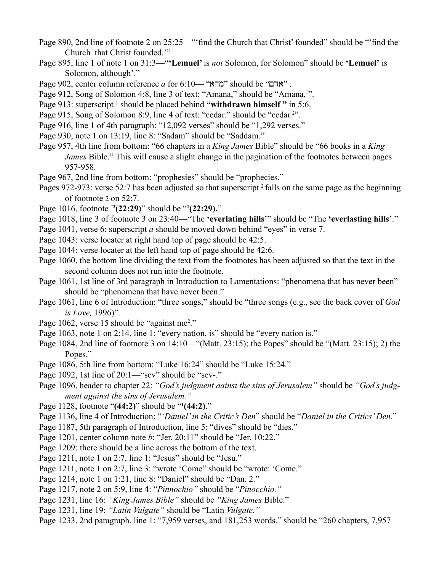- Page 890, 2nd line of footnote 2 on 25:25—"'find the Church that Christ' founded" should be "'find the Church that Christ founded.'"
- Page 895, line 1 of note 1 on 31:3—"**'Lemuel'** is *not* Solomon, for Solomon" should be **'Lemuel'** is Solomon, although'."
- Page 902, center column reference *a* for 6:10— "אדם" should be "אדם".
- Page 912, Song of Solomon 4:8, line 3 of text: "Amana," should be "Amana,!".
- Page 913: superscript <sup>1</sup> should be placed behind "withdrawn himself" in 5:6.
- Page 915, Song of Solomon 8:9, line 4 of text: "cedar." should be "cedar.<sup>2</sup>".
- Page 916, line 1 of 4th paragraph: "12,092 verses" should be "1,292 verses."
- Page 930, note 1 on 13:19, line 8: "Sadam" should be "Saddam."
- Page 957, 4th line from bottom: "66 chapters in a *King James* Bible" should be "66 books in a *King James* Bible." This will cause a slight change in the pagination of the footnotes between pages 957-958.
- Page 967, 2nd line from bottom: "prophesies" should be "prophecies."
- Pages 972-973: verse 52:7 has been adjusted so that superscript  $2$  falls on the same page as the beginning of footnote 2 on 52:7.
- Page 1016, footnote "**<sup>2</sup> (22:29)**" should be "**<sup>1</sup> (22:29).**"
- Page 1018, line 3 of footnote 3 on 23:40—"The **'everlating hills'**" should be "The **'everlasting hills'**."
- Page 1041, verse 6: superscript *a* should be moved down behind "eyes" in verse 7.
- Page 1043: verse locater at right hand top of page should be 42:5.
- Page 1044: verse locater at the left hand top of page should be 42:6.
- Page 1060, the bottom line dividing the text from the footnotes has been adjusted so that the text in the second column does not run into the footnote.
- Page 1061, 1st line of 3rd paragraph in Introduction to Lamentations: "phenomena that has never been" should be "phenomena that have never been."
- Page 1061, line 6 of Introduction: "three songs," should be "three songs (e.g., see the back cover of *God is Love,* 1996)".
- Page 1062, verse 15 should be "against me<sup>2</sup>."
- Page 1063, note 1 on 2:14, line 1: "every nation, is" should be "every nation is."
- Page 1084, 2nd line of footnote 3 on 14:10—"(Matt. 23:15); the Popes" should be "(Matt. 23:15); 2) the Popes."
- Page 1086, 5th line from bottom: "Luke 16:24" should be "Luke 15:24."
- Page 1092, 1st line of 20:1—"sev" should be "sev-."
- Page 1096, header to chapter 22: *"God's judgment aainst the sins of Jerusalem"* should be *"God's judgment against the sins of Jerusalem."*
- Page 1128, footnote "**(44:2)**" should be "**<sup>1</sup> (44:2)**."
- Page 1136, line 4 of Introduction: "*'Daniel' in the Critic's Den*" should be "*Daniel in the Critics' Den.*"
- Page 1187, 5th paragraph of Introduction, line 5: "dives" should be "dies."
- Page 1201, center column note *b*: "Jer. 20:11" should be "Jer. 10:22."
- Page 1209: there should be a line across the bottom of the text.
- Page 1211, note 1 on 2:7, line 1: "Jesus" should be "Jesu."
- Page 1211, note 1 on 2:7, line 3: "wrote 'Come" should be "wrote: 'Come."
- Page 1214, note 1 on 1:21, line 8: "Daniel" should be "Dan. 2."
- Page 1217, note 2 on 5:9, line 4: "*Pinnochio"* should be "*Pinocchio."*
- Page 1231, line 16: *"King James Bible"* should be *"King James* Bible."
- Page 1231, line 19: *"Latin Vulgate"* should be "Latin *Vulgate."*
- Page 1233, 2nd paragraph, line 1: "7,959 verses, and 181,253 words." should be "260 chapters, 7,957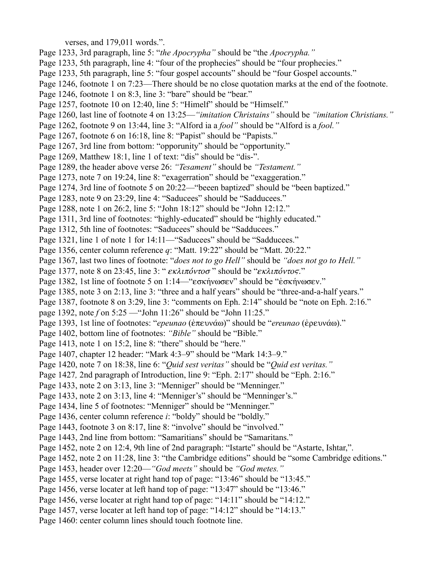verses, and 179,011 words.".

- Page 1233, 3rd paragraph, line 5: "*the Apocrypha"* should be "the *Apocrypha."*
- Page 1233, 5th paragraph, line 4: "four of the prophecies" should be "four prophecies."
- Page 1233, 5th paragraph, line 5: "four gospel accounts" should be "four Gospel accounts."
- Page 1246, footnote 1 on 7:23—There should be no close quotation marks at the end of the footnote.
- Page 1246, footnote 1 on 8:3, line 3: "bare" should be "bear."
- Page 1257, footnote 10 on 12:40, line 5: "Himelf" should be "Himself."
- Page 1260, last line of footnote 4 on 13:25—*"imitation Christains"* should be *"imitation Christians."*
- Page 1262, footnote 9 on 13:44, line 3: "Alford ia a *fool"* should be "Alford is a *fool."*
- Page 1267, footnote 6 on 16:18, line 8: "Papist" should be "Papists."
- Page 1267, 3rd line from bottom: "opporunity" should be "opportunity."
- Page 1269, Matthew 18:1, line 1 of text: "dis" should be "dis-".
- Page 1289, the header above verse 26: *"Tesament"* should be *"Testament."*
- Page 1273, note 7 on 19:24, line 8: "exagerration" should be "exaggeration."
- Page 1274, 3rd line of footnote 5 on 20:22—"beeen baptized" should be "been baptized."
- Page 1283, note 9 on 23:29, line 4: "Saducees" should be "Sadducees."
- Page 1288, note 1 on 26:2, line 5: "John 18:12" should be "John 12:12."
- Page 1311, 3rd line of footnotes: "highly-educated" should be "highly educated."
- Page 1312, 5th line of footnotes: "Saducees" should be "Sadducees."
- Page 1321, line 1 of note 1 for 14:11—"Saducees" should be "Sadducees."
- Page 1356, center column reference *q*: "Matt. 19:22" should be "Matt. 20:22."
- Page 1367, last two lines of footnote: "*does not to go Hell"* should be *"does not go to Hell."*
- Page 1377, note 8 on 23:45, line 3: "*εκλιπόντοσ*" should be "*εκλιπόντος*."
- Page 1382, 1st line of footnote 5 on 1:14— "εσκήνωσεν" should be "έσκήνωσεν."
- Page 1385, note 3 on 2:13, line 3: "three and a half years" should be "three-and-a-half years."
- Page 1387, footnote 8 on 3:29, line 3: "comments on Eph. 2:14" should be "note on Eph. 2:16."
- page 1392, note *f* on 5:25 —"John 11:26" should be "John 11:25."
- Page 1393, 1st line of footnotes: "*epeunao* (έπευνάω)" should be "*ereunao* (έρευνάω)."
- Page 1402, bottom line of footnotes: *"Bible"* should be "Bible."
- Page 1413, note 1 on 15:2, line 8: "there" should be "here."
- Page 1407, chapter 12 header: "Mark 4:3–9" should be "Mark 14:3–9."
- Page 1420, note 7 on 18:38, line 6: "*Quid sest veritas"* should be "*Quid est veritas."*
- Page 1427*,* 2nd paragraph of Introduction, line 9: "Eph. 2:17" should be "Eph. 2:16."
- Page 1433, note 2 on 3:13, line 3: "Menniger" should be "Menninger."
- Page 1433, note 2 on 3:13, line 4: "Menniger's" should be "Menninger's."
- Page 1434, line 5 of footnotes: "Menniger" should be "Menninger."
- Page 1436, center column reference *i*: "boldy" should be "boldly."
- Page 1443, footnote 3 on 8:17, line 8: "involve" should be "involved."
- Page 1443, 2nd line from bottom: "Samaritians" should be "Samaritans."
- Page 1452, note 2 on 12:4, 9th line of 2nd paragraph: "Istarte" should be "Astarte, Ishtar,".
- Page 1452, note 2 on 11:28, line 3: "the Cambridge editions" should be "some Cambridge editions."
- Page 1453, header over 12:20—*"God meets"* should be *"God metes."*
- Page 1455, verse locater at right hand top of page: "13:46" should be "13:45."
- Page 1456, verse locater at left hand top of page: "13:47" should be "13:46."
- Page 1456, verse locater at right hand top of page: "14:11" should be "14:12."
- Page 1457, verse locater at left hand top of page: "14:12" should be "14:13."
- Page 1460: center column lines should touch footnote line.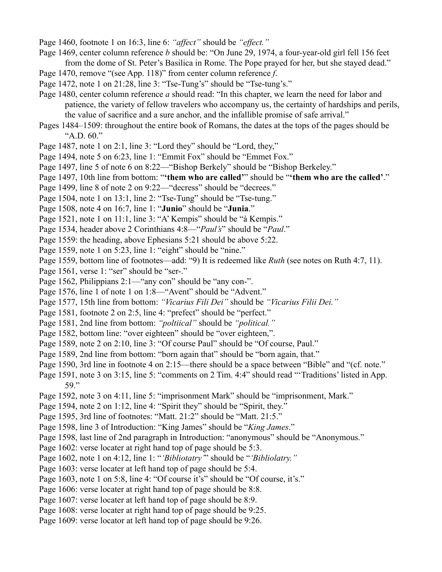- Page 1460, footnote 1 on 16:3, line 6: *"affect"* should be *"effect."*
- Page 1469, center column reference *b* should be: "On June 29, 1974, a four-year-old girl fell 156 feet from the dome of St. Peter's Basilica in Rome. The Pope prayed for her, but she stayed dead."
- Page 1470, remove "(see App. 118)" from center column reference *f*.
- Page 1472, note 1 on 21:28, line 3: "Tse-Tung's" should be "Tse-tung's."
- Page 1480, center column reference *a* should read: "In this chapter, we learn the need for labor and patience, the variety of fellow travelers who accompany us, the certainty of hardships and perils, the value of sacrifice and a sure anchor, and the infallible promise of safe arrival."
- Pages 1484–1509: throughout the entire book of Romans, the dates at the tops of the pages should be "A.D. 60."
- Page 1487, note 1 on 2:1, line 3: "Lord they" should be "Lord, they,"
- Page 1494, note 5 on 6:23, line 1: "Emmit Fox" should be "Emmet Fox."
- Page 1497, line 5 of note 6 on 8:22—"Bishop Berkely" should be "Bishop Berkeley."
- Page 1497, 10th line from bottom: "**'them who are called'**" should be "**'them who are the called'**."
- Page 1499, line 8 of note 2 on 9:22—"decress" should be "decrees."
- Page 1504, note 1 on 13:1, line 2: "Tse-Tung" should be "Tse-tung."
- Page 1508, note 4 on 16:7, line 1: "**Junio**" should be "**Junia**."
- Page 1521, note 1 on 11:1, line 3: "A' Kempis" should be "à Kempis."
- Page 1534, header above 2 Corinthians 4:8—"*Paul's*" should be "*Paul*."
- Page 1559: the heading, above Ephesians 5:21 should be above 5:22.
- Page 1559, note 1 on 5:23, line 1: "eight" should be "nine."
- Page 1559, bottom line of footnotes—add: "9) It is redeemed like *Ruth* (see notes on Ruth 4:7, 11).
- Page 1561, verse 1: "ser" should be "ser-."
- Page 1562, Philippians 2:1—"any con" should be "any con-".
- Page 1576, line 1 of note 1 on 1:8—"Avent" should be "Advent."
- Page 1577, 15th line from bottom: *"Vicarius Fili Dei"* should be *"Vicarius Filii Dei."*
- Page 1581, footnote 2 on 2:5, line 4: "prefect" should be "perfect."
- Page 1581, 2nd line from bottom: *"poltiical"* should be *"political."*
- Page 1582, bottom line: "over eighteen" should be "over eighteen,".
- Page 1589, note 2 on 2:10, line 3: "Of course Paul" should be "Of course, Paul."
- Page 1589, 2nd line from bottom: "born again that" should be "born again, that."
- Page 1590, 3rd line in footnote 4 on 2:15—there should be a space between "Bible" and "(cf. note."
- Page 1591, note 3 on 3:15, line 5: "comments on 2 Tim. 4:4" should read "'Traditions' listed in App. 59."
- Page 1592, note 3 on 4:11, line 5: "imprisonment Mark" should be "imprisonment, Mark."
- Page 1594, note 2 on 1:12, line 4: "Spirit they" should be "Spirit, they."
- Page 1595, 3rd line of footnotes: "Matt. 21:2" should be "Matt. 21:5."
- Page 1598, line 3 of Introduction: "King James" should be "*King James*."
- Page 1598, last line of 2nd paragraph in Introduction: "anonymous" should be "Anonymous."
- Page 1602: verse locater at right hand top of page should be 5:3.
- Page 1602, note 1 on 4:12, line 1: "*'Bibliotatry'*" should be "*'Bibliolatry."*
- Page 1603: verse locater at left hand top of page should be 5:4.
- Page 1603, note 1 on 5:8, line 4: "Of course it's" should be "Of course, it's."
- Page 1606: verse locater at right hand top of page should be 8:8.
- Page 1607: verse locater at left hand top of page should be 8:9.
- Page 1608: verse locater at right hand top of page should be 9:25.
- Page 1609: verse locator at left hand top of page should be 9:26.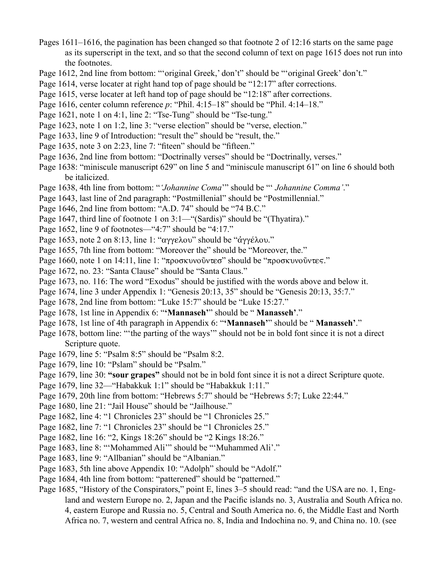- Pages 1611–1616, the pagination has been changed so that footnote 2 of 12:16 starts on the same page as its superscript in the text, and so that the second column of text on page 1615 does not run into the footnotes.
- Page 1612, 2nd line from bottom: ""original Greek,' don't" should be ""original Greek' don't."
- Page 1614, verse locater at right hand top of page should be "12:17" after corrections.
- Page 1615, verse locater at left hand top of page should be "12:18" after corrections.
- Page 1616, center column reference *p*: "Phil. 4:15–18" should be "Phil. 4:14–18."
- Page 1621, note 1 on 4:1, line 2: "Tse-Tung" should be "Tse-tung."
- Page 1623, note 1 on 1:2, line 3: "verse election" should be "verse, election."
- Page 1633, line 9 of Introduction: "result the" should be "result, the."
- Page 1635, note 3 on 2:23, line 7: "fiteen" should be "fifteen."
- Page 1636, 2nd line from bottom: "Doctrinally verses" should be "Doctrinally, verses."
- Page 1638: "miniscule manuscript 629" on line 5 and "miniscule manuscript 61" on line 6 should both be italicized.
- Page 1638, 4th line from bottom: "*'Johannine Coma*'" should be "' *Johannine Comma'*."
- Page 1643, last line of 2nd paragraph: "Postmillenial" should be "Postmillennial."
- Page 1646, 2nd line from bottom: "A.D. 74" should be "74 B.C."
- Page 1647, third line of footnote 1 on 3:1—"(Sardis)" should be "(Thyatira)."
- Page 1652, line 9 of footnotes—"4:7" should be "4:17."
- Page 1653, note 2 on 8:13, line 1: " $\alpha \gamma \gamma \epsilon \lambda \omega$ " should be " $\alpha \gamma \gamma \epsilon \lambda \omega$ ."
- Page 1655, 7th line from bottom: "Moreover the" should be "Moreover, the."
- Page 1660, note 1 on 14:11, line 1: "προσκυνοῦντεσ" should be "προσκυνοῦντες."
- Page 1672, no. 23: "Santa Clause" should be "Santa Claus."
- Page 1673, no. 116: The word "Exodus" should be justified with the words above and below it.
- Page 1674, line 3 under Appendix 1: "Genesis 20:13, 35" should be "Genesis 20:13, 35:7."
- Page 1678, 2nd line from bottom: "Luke 15:7" should be "Luke 15:27."
- Page 1678, 1st line in Appendix 6: "**'Mannaseh'**" should be " **Manasseh'**."
- Page 1678, 1st line of 4th paragraph in Appendix 6: "**'Mannaseh'**" should be " **Manasseh'**."
- Page 1678, bottom line: "'the parting of the ways'" should not be in bold font since it is not a direct Scripture quote.
- Page 1679, line 5: "Psalm 8:5" should be "Psalm 8:2.
- Page 1679, line 10: "Pslam" should be "Psalm."
- Page 1679, line 30: **"sour grapes"** should not be in bold font since it is not a direct Scripture quote.
- Page 1679, line 32—"Habakkuk 1:1" should be "Habakkuk 1:11."
- Page 1679, 20th line from bottom: "Hebrews 5:7" should be "Hebrews 5:7; Luke 22:44."
- Page 1680, line 21: "Jail House" should be "Jailhouse."
- Page 1682, line 4: "1 Chronicles 23" should be "1 Chronicles 25."
- Page 1682, line 7: "1 Chronicles 23" should be "1 Chronicles 25."
- Page 1682, line 16: "2, Kings 18:26" should be "2 Kings 18:26."
- Page 1683, line 8: "'Mohammed Ali'" should be "'Muhammed Ali'."
- Page 1683, line 9: "Allbanian" should be "Albanian."
- Page 1683, 5th line above Appendix 10: "Adolph" should be "Adolf."
- Page 1684, 4th line from bottom: "patterened" should be "patterned."
- Page 1685, "History of the Conspirators," point E, lines 3–5 should read: "and the USA are no. 1, England and western Europe no. 2, Japan and the Pacific islands no. 3, Australia and South Africa no. 4, eastern Europe and Russia no. 5, Central and South America no. 6, the Middle East and North Africa no. 7, western and central Africa no. 8, India and Indochina no. 9, and China no. 10. (see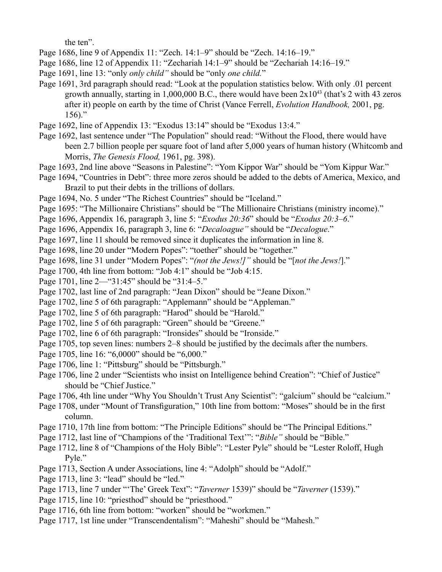the ten".

- Page 1686, line 9 of Appendix 11: "Zech. 14:1–9" should be "Zech. 14:16–19."
- Page 1686, line 12 of Appendix 11: "Zechariah 14:1–9" should be "Zechariah 14:16–19."
- Page 1691, line 13: "only *only child"* should be "only *one child.*"
- Page 1691, 3rd paragraph should read: "Look at the population statistics below. With only .01 percent growth annually, starting in  $1,000,000$  B.C., there would have been  $2x10^{43}$  (that's 2 with 43 zeros after it) people on earth by the time of Christ (Vance Ferrell, *Evolution Handbook,* 2001, pg. 156)."
- Page 1692, line of Appendix 13: "Exodus 13:14" should be "Exodus 13:4."
- Page 1692, last sentence under "The Population" should read: "Without the Flood, there would have been 2.7 billion people per square foot of land after 5,000 years of human history (Whitcomb and Morris, *The Genesis Flood,* 1961, pg. 398).
- Page 1693, 2nd line above "Seasons in Palestine": "Yom Kippor War" should be "Yom Kippur War."
- Page 1694, "Countries in Debt": three more zeros should be added to the debts of America, Mexico, and Brazil to put their debts in the trillions of dollars.
- Page 1694, No. 5 under "The Richest Countries" should be "Iceland."
- Page 1695: "The Millionaire Christians" should be "The Millionaire Christians (ministry income)."
- Page 1696, Appendix 16, paragraph 3, line 5: "*Exodus 20:36*" should be "*Exodus 20:3–6*."
- Page 1696, Appendix 16, paragraph 3, line 6: "*Decaloague"* should be "*Decalogue*."
- Page 1697, line 11 should be removed since it duplicates the information in line 8.
- Page 1698, line 20 under "Modern Popes": "toether" should be "together."
- Page 1698, line 31 under "Modern Popes": "*(not the Jews!]"* should be "[*not the Jews!*]."
- Page 1700, 4th line from bottom: "Job 4:1" should be "Job 4:15.
- Page 1701, line 2—"31:45" should be "31:4–5."
- Page 1702, last line of 2nd paragraph: "Jean Dixon" should be "Jeane Dixon."
- Page 1702, line 5 of 6th paragraph: "Applemann" should be "Appleman."
- Page 1702, line 5 of 6th paragraph: "Harod" should be "Harold."
- Page 1702, line 5 of 6th paragraph: "Green" should be "Greene."
- Page 1702, line 6 of 6th paragraph: "Ironsides" should be "Ironside."
- Page 1705, top seven lines: numbers 2–8 should be justified by the decimals after the numbers.
- Page 1705, line 16: "6,0000" should be "6,000."
- Page 1706, line 1: "Pittsburg" should be "Pittsburgh."
- Page 1706, line 2 under "Scientists who insist on Intelligence behind Creation": "Chief of Justice" should be "Chief Justice."
- Page 1706, 4th line under "Why You Shouldn't Trust Any Scientist": "galcium" should be "calcium."
- Page 1708, under "Mount of Transfiguration," 10th line from bottom: "Moses" should be in the first column.
- Page 1710, 17th line from bottom: "The Principle Editions" should be "The Principal Editions."
- Page 1712, last line of "Champions of the 'Traditional Text'": "*Bible"* should be "Bible."
- Page 1712, line 8 of "Champions of the Holy Bible": "Lester Pyle" should be "Lester Roloff, Hugh Pyle."
- Page 1713, Section A under Associations, line 4: "Adolph" should be "Adolf."
- Page 1713, line 3: "lead" should be "led."
- Page 1713, line 7 under "'The' Greek Text": "*Taverner* 1539)" should be "*Taverner* (1539)."
- Page 1715, line 10: "priesthod" should be "priesthood."
- Page 1716, 6th line from bottom: "worken" should be "workmen."
- Page 1717, 1st line under "Transcendentalism": "Maheshi" should be "Mahesh."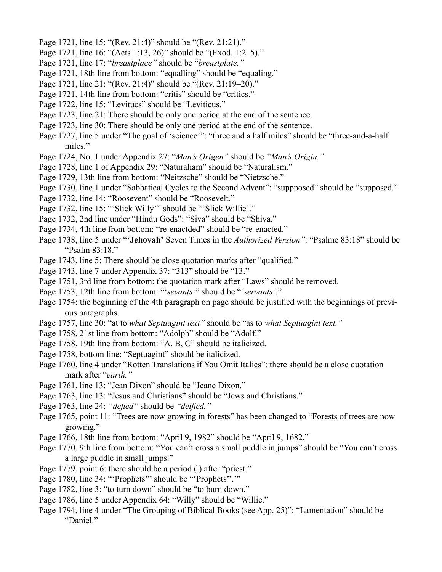- Page 1721, line 15: "(Rev. 21:4)" should be "(Rev. 21:21)."
- Page 1721, line 16: "(Acts 1:13, 26)" should be "(Exod. 1:2–5)."
- Page 1721, line 17: "*breastplace"* should be "*breastplate."*
- Page 1721, 18th line from bottom: "equalling" should be "equaling."
- Page 1721, line 21: "(Rev. 21:4)" should be "(Rev. 21:19–20)."
- Page 1721, 14th line from bottom: "critis" should be "critics."
- Page 1722, line 15: "Levitucs" should be "Leviticus."
- Page 1723, line 21: There should be only one period at the end of the sentence.
- Page 1723, line 30: There should be only one period at the end of the sentence.
- Page 1727, line 5 under "The goal of 'science'": "three and a half miles" should be "three-and-a-half miles."
- Page 1724, No. 1 under Appendix 27: "*Man's Origen"* should be *"Man's Origin."*
- Page 1728, line 1 of Appendix 29: "Naturaliam" should be "Naturalism."
- Page 1729, 13th line from bottom: "Neitzsche" should be "Nietzsche."
- Page 1730, line 1 under "Sabbatical Cycles to the Second Advent": "suppposed" should be "supposed."
- Page 1732, line 14: "Roosevent" should be "Roosevelt."
- Page 1732, line 15: "'Slick Willy'" should be "'Slick Willie'."
- Page 1732, 2nd line under "Hindu Gods": "Siva" should be "Shiva."
- Page 1734, 4th line from bottom: "re-enactded" should be "re-enacted."
- Page 1738, line 5 under "**'Jehovah'** Seven Times in the *Authorized Version"*: "Psalme 83:18" should be "Psalm 83:18."
- Page 1743, line 5: There should be close quotation marks after "qualified."
- Page 1743, line 7 under Appendix 37: "313" should be "13."
- Page 1751, 3rd line from bottom: the quotation mark after "Laws" should be removed.
- Page 1753, 12th line from bottom: "'*sevants'*" should be "*'servants'*."
- Page 1754: the beginning of the 4th paragraph on page should be justified with the beginnings of previous paragraphs.
- Page 1757, line 30: "at to *what Septuagint text"* should be "as to *what Septuagint text."*
- Page 1758, 21st line from bottom: "Adolph" should be "Adolf."
- Page 1758, 19th line from bottom: "A, B, C" should be italicized.
- Page 1758, bottom line: "Septuagint" should be italicized.
- Page 1760, line 4 under "Rotten Translations if You Omit Italics": there should be a close quotation mark after "*earth."*
- Page 1761, line 13: "Jean Dixon" should be "Jeane Dixon."
- Page 1763, line 13: "Jesus and Christians" should be "Jews and Christians."
- Page 1763, line 24: *"defied"* should be *"deified."*
- Page 1765, point 11: "Trees are now growing in forests" has been changed to "Forests of trees are now growing."
- Page 1766, 18th line from bottom: "April 9, 1982" should be "April 9, 1682."
- Page 1770, 9th line from bottom: "You can't cross a small puddle in jumps" should be "You can't cross a large puddle in small jumps."
- Page 1779, point 6: there should be a period (.) after "priest."
- Page 1780, line 34: "'Prophets'" should be "'Prophets''.'"
- Page 1782, line 3: "to turn down" should be "to burn down."
- Page 1786, line 5 under Appendix 64: "Willy" should be "Willie."
- Page 1794, line 4 under "The Grouping of Biblical Books (see App. 25)": "Lamentation" should be "Daniel."